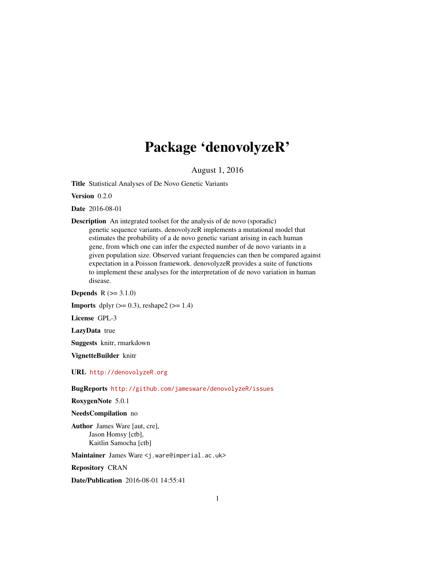## Package 'denovolyzeR'

August 1, 2016

Title Statistical Analyses of De Novo Genetic Variants

Version 0.2.0

Date 2016-08-01

Description An integrated toolset for the analysis of de novo (sporadic) genetic sequence variants. denovolyzeR implements a mutational model that estimates the probability of a de novo genetic variant arising in each human gene, from which one can infer the expected number of de novo variants in a given population size. Observed variant frequencies can then be compared against expectation in a Poisson framework. denovolyzeR provides a suite of functions to implement these analyses for the interpretation of de novo variation in human disease.

**Depends**  $R (= 3.1.0)$ 

**Imports** dplyr  $(>= 0.3)$ , reshape2  $(>= 1.4)$ 

License GPL-3

LazyData true

Suggests knitr, rmarkdown

VignetteBuilder knitr

URL <http://denovolyzeR.org>

BugReports <http://github.com/jamesware/denovolyzeR/issues>

RoxygenNote 5.0.1

#### NeedsCompilation no

Author James Ware [aut, cre], Jason Homsy [ctb], Kaitlin Samocha [ctb]

Maintainer James Ware <j.ware@imperial.ac.uk>

Repository CRAN

Date/Publication 2016-08-01 14:55:41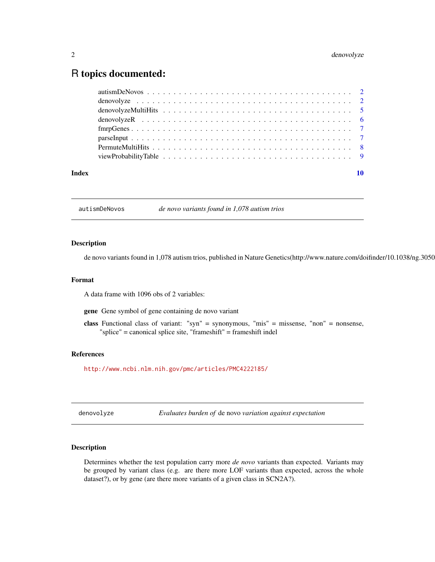### <span id="page-1-0"></span>R topics documented:

autismDeNovos *de novo variants found in 1,078 autism trios*

#### Description

de novo variants found in 1,078 autism trios, published in Nature Genetics(http://www.nature.com/doifinder/10.1038/ng.3050)

#### Format

A data frame with 1096 obs of 2 variables:

gene Gene symbol of gene containing de novo variant

class Functional class of variant: "syn" = synonymous, "mis" = missense, "non" = nonsense, "splice" = canonical splice site, "frameshift" = frameshift indel

#### References

<http://www.ncbi.nlm.nih.gov/pmc/articles/PMC4222185/>

denovolyze *Evaluates burden of* de novo *variation against expectation*

#### Description

Determines whether the test population carry more *de novo* variants than expected. Variants may be grouped by variant class (e.g. are there more LOF variants than expected, across the whole dataset?), or by gene (are there more variants of a given class in SCN2A?).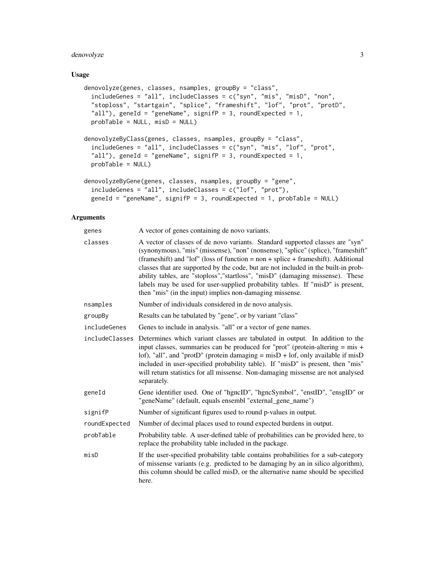#### denovolyze 3

#### Usage

```
denovolyze(genes, classes, nsamples, groupBy = "class",
  includeGenes = "all", includeClasses = c("syn", "mis", "misD", "non",
 "stoploss", "startgain", "splice", "frameshift", "lof", "prot", "protD",
  "all"), geneId = "geneName", signifP = 3, roundExpected = 1,
 probTable = NULL, misD = NULL)
denovolyzeByClass(genes, classes, nsamples, groupBy = "class",
  includeGenes = "all", includeClasses = c("syn", "mis", "lof", "prot",
  "all"), geneId = "geneName", signifP = 3, roundExpected = 1,
 probTable = NULL)
denovolyzeByGene(genes, classes, nsamples, groupBy = "gene",
  includeGenes = "all", includeClasses = c("lof", "prot"),
  geneId = "geneName", signifP = 3, roundExpected = 1, probTable = NULL)
```
#### Arguments

| genes          | A vector of genes containing de novo variants.                                                                                                                                                                                                                                                                                                                                                                                                                                                                                                                               |
|----------------|------------------------------------------------------------------------------------------------------------------------------------------------------------------------------------------------------------------------------------------------------------------------------------------------------------------------------------------------------------------------------------------------------------------------------------------------------------------------------------------------------------------------------------------------------------------------------|
| classes        | A vector of classes of de novo variants. Standard supported classes are "syn"<br>(synonymous), "mis" (missense), "non" (nonsense), "splice" (splice), "frameshift"<br>(frameshift) and "lof" (loss of function = $non + splice + frames$ ). Additional<br>classes that are supported by the code, but are not included in the built-in prob-<br>ability tables, are "stoploss", "startloss", "misD" (damaging missense). These<br>labels may be used for user-supplied probability tables. If "misD" is present,<br>then "mis" (in the input) implies non-damaging missense. |
| nsamples       | Number of individuals considered in de novo analysis.                                                                                                                                                                                                                                                                                                                                                                                                                                                                                                                        |
| groupBy        | Results can be tabulated by "gene", or by variant "class"                                                                                                                                                                                                                                                                                                                                                                                                                                                                                                                    |
| includeGenes   | Genes to include in analysis. "all" or a vector of gene names.                                                                                                                                                                                                                                                                                                                                                                                                                                                                                                               |
| includeClasses | Determines which variant classes are tabulated in output. In addition to the<br>input classes, summaries can be produced for "prot" (protein-altering $=$ mis $+$<br>lof), "all", and "protD" (protein damaging = misD + lof, only available if misD<br>included in user-specified probability table). If "misD" is present, then "mis"<br>will return statistics for all missense. Non-damaging missense are not analysed<br>separately.                                                                                                                                    |
| geneId         | Gene identifier used. One of "hgncID", "hgncSymbol", "enstID", "ensgID" or<br>"geneName" (default, equals ensembl "external_gene_name")                                                                                                                                                                                                                                                                                                                                                                                                                                      |
| signifP        | Number of significant figures used to round p-values in output.                                                                                                                                                                                                                                                                                                                                                                                                                                                                                                              |
| roundExpected  | Number of decimal places used to round expected burdens in output.                                                                                                                                                                                                                                                                                                                                                                                                                                                                                                           |
| probTable      | Probability table. A user-defined table of probabilities can be provided here, to<br>replace the probability table included in the package.                                                                                                                                                                                                                                                                                                                                                                                                                                  |
| misD           | If the user-specified probability table contains probabilities for a sub-category<br>of missense variants (e.g. predicted to be damaging by an in silico algorithm),<br>this column should be called misD, or the alternative name should be specified<br>here.                                                                                                                                                                                                                                                                                                              |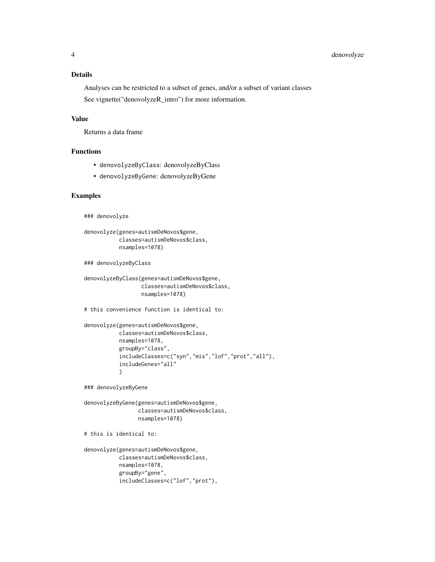#### Details

Analyses can be restricted to a subset of genes, and/or a subset of variant classes See vignette("denovolyzeR\_intro") for more information.

#### Value

Returns a data frame

#### Functions

- denovolyzeByClass: denovolyzeByClass
- denovolyzeByGene: denovolyzeByGene

#### Examples

```
### denovolyze
```

```
denovolyze(genes=autismDeNovos$gene,
           classes=autismDeNovos$class,
           nsamples=1078)
```
### denovolyzeByClass

```
denovolyzeByClass(genes=autismDeNovos$gene,
                  classes=autismDeNovos$class,
                  nsamples=1078)
```

```
# this convenience function is identical to:
```

```
denovolyze(genes=autismDeNovos$gene,
           classes=autismDeNovos$class,
           nsamples=1078,
           groupBy="class",
           includeClasses=c("syn","mis","lof","prot","all"),
           includeGenes="all"
           )
```
### denovolyzeByGene

```
denovolyzeByGene(genes=autismDeNovos$gene,
                 classes=autismDeNovos$class,
                 nsamples=1078)
```
# this is identical to:

```
denovolyze(genes=autismDeNovos$gene,
           classes=autismDeNovos$class,
           nsamples=1078,
           groupBy="gene",
           includeClasses=c("lof","prot"),
```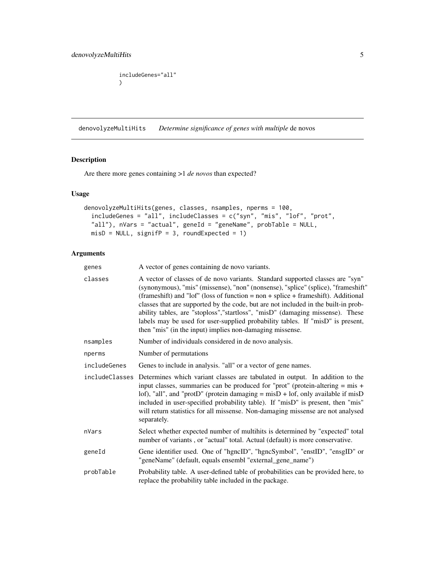```
includeGenes="all"
\mathcal{L}
```
<span id="page-4-1"></span>denovolyzeMultiHits *Determine significance of genes with multiple* de novos

#### Description

Are there more genes containing >1 *de novos* than expected?

#### Usage

```
denovolyzeMultiHits(genes, classes, nsamples, nperms = 100,
  includeGenes = "all", includeClasses = c("syn", "mis", "lof", "prot",
 "all"), nVars = "actual", geneId = "geneName", probTable = NULL,
 misD = NULL, signifP = 3, roundExpected = 1)
```
#### Arguments

| genes        | A vector of genes containing de novo variants.                                                                                                                                                                                                                                                                                                                                                                                                                                                                                                                                   |
|--------------|----------------------------------------------------------------------------------------------------------------------------------------------------------------------------------------------------------------------------------------------------------------------------------------------------------------------------------------------------------------------------------------------------------------------------------------------------------------------------------------------------------------------------------------------------------------------------------|
| classes      | A vector of classes of de novo variants. Standard supported classes are "syn"<br>(synonymous), "mis" (missense), "non" (nonsense), "splice" (splice), "frameshift"<br>(frameshift) and "lof" (loss of function = $non + splice + frames$ hift). Additional<br>classes that are supported by the code, but are not included in the built-in prob-<br>ability tables, are "stoploss", "startloss", "misD" (damaging missense). These<br>labels may be used for user-supplied probability tables. If "misD" is present,<br>then "mis" (in the input) implies non-damaging missense. |
| nsamples     | Number of individuals considered in de novo analysis.                                                                                                                                                                                                                                                                                                                                                                                                                                                                                                                            |
| nperms       | Number of permutations                                                                                                                                                                                                                                                                                                                                                                                                                                                                                                                                                           |
| includeGenes | Genes to include in analysis. "all" or a vector of gene names.                                                                                                                                                                                                                                                                                                                                                                                                                                                                                                                   |
|              | includeClasses Determines which variant classes are tabulated in output. In addition to the<br>input classes, summaries can be produced for "prot" (protein-altering $=$ mis $+$<br>lof), "all", and "protD" (protein damaging = misD + lof, only available if misD<br>included in user-specified probability table). If "misD" is present, then "mis"<br>will return statistics for all missense. Non-damaging missense are not analysed<br>separately.                                                                                                                         |
| nVars        | Select whether expected number of multihits is determined by "expected" total<br>number of variants, or "actual" total. Actual (default) is more conservative.                                                                                                                                                                                                                                                                                                                                                                                                                   |
| geneId       | Gene identifier used. One of "hgncID", "hgncSymbol", "enstID", "ensgID" or<br>"geneName" (default, equals ensembl "external_gene_name")                                                                                                                                                                                                                                                                                                                                                                                                                                          |
| probTable    | Probability table. A user-defined table of probabilities can be provided here, to<br>replace the probability table included in the package.                                                                                                                                                                                                                                                                                                                                                                                                                                      |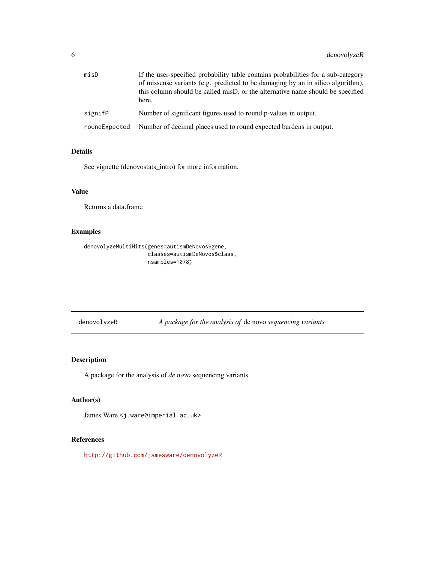<span id="page-5-0"></span>

| misD          | If the user-specified probability table contains probabilities for a sub-category<br>of missense variants (e.g. predicted to be damaging by an in silico algorithm),<br>this column should be called misD, or the alternative name should be specified<br>here. |
|---------------|-----------------------------------------------------------------------------------------------------------------------------------------------------------------------------------------------------------------------------------------------------------------|
| signifP       | Number of significant figures used to round p-values in output.                                                                                                                                                                                                 |
| roundExpected | Number of decimal places used to round expected burdens in output.                                                                                                                                                                                              |

#### Details

See vignette (denovostats\_intro) for more information.

#### Value

Returns a data.frame

#### Examples

```
denovolyzeMultiHits(genes=autismDeNovos$gene,
                    classes=autismDeNovos$class,
                    nsamples=1078)
```
denovolyzeR *A package for the analysis of* de novo *sequencing variants*

#### Description

A package for the analysis of *de novo* sequencing variants

#### Author(s)

James Ware <j.ware@imperial.ac.uk>

#### References

<http://github.com/jamesware/denovolyzeR>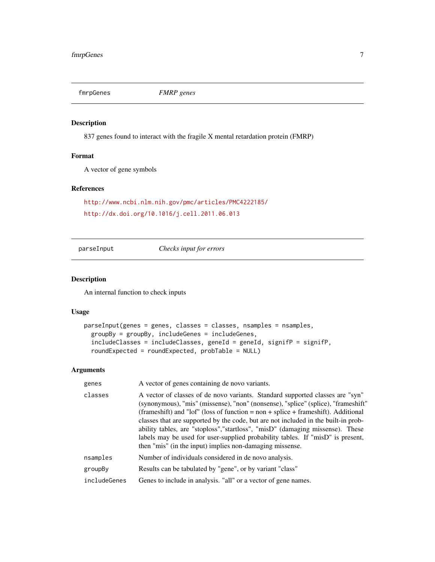<span id="page-6-0"></span>fmrpGenes *FMRP genes*

#### Description

837 genes found to interact with the fragile X mental retardation protein (FMRP)

#### Format

A vector of gene symbols

#### References

```
http://www.ncbi.nlm.nih.gov/pmc/articles/PMC4222185/
http://dx.doi.org/10.1016/j.cell.2011.06.013
```
parseInput *Checks input for errors*

#### Description

An internal function to check inputs

#### Usage

```
parseInput(genes = genes, classes = classes, nsamples = nsamples,
 groupBy = groupBy, includeGenes = includeGenes,
  includeClasses = includeClasses, geneId = geneId, signifP = signifP,
  roundExpected = roundExpected, probTable = NULL)
```
#### Arguments

| genes        | A vector of genes containing de novo variants.                                                                                                                                                                                                                                                                                                                                                                                                                                                                                                                                   |
|--------------|----------------------------------------------------------------------------------------------------------------------------------------------------------------------------------------------------------------------------------------------------------------------------------------------------------------------------------------------------------------------------------------------------------------------------------------------------------------------------------------------------------------------------------------------------------------------------------|
| classes      | A vector of classes of de novo variants. Standard supported classes are "syn"<br>(synonymous), "mis" (missense), "non" (nonsense), "splice" (splice), "frameshift"<br>(frameshift) and "lof" (loss of function = $non + splice + frames$ hift). Additional<br>classes that are supported by the code, but are not included in the built-in prob-<br>ability tables, are "stoploss", "startloss", "misD" (damaging missense). These<br>labels may be used for user-supplied probability tables. If "misD" is present,<br>then "mis" (in the input) implies non-damaging missense. |
| nsamples     | Number of individuals considered in de novo analysis.                                                                                                                                                                                                                                                                                                                                                                                                                                                                                                                            |
| groupBy      | Results can be tabulated by "gene", or by variant "class"                                                                                                                                                                                                                                                                                                                                                                                                                                                                                                                        |
| includeGenes | Genes to include in analysis. "all" or a vector of gene names.                                                                                                                                                                                                                                                                                                                                                                                                                                                                                                                   |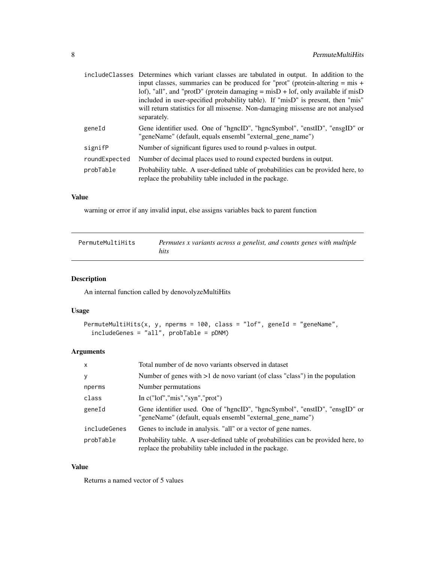<span id="page-7-0"></span>

|               | include Classes Determines which variant classes are tabulated in output. In addition to the                                                |
|---------------|---------------------------------------------------------------------------------------------------------------------------------------------|
|               | input classes, summaries can be produced for "prot" (protein-altering $=$ mis $+$                                                           |
|               | lof), "all", and "protD" (protein damaging $=$ misD $+$ lof, only available if misD                                                         |
|               | included in user-specified probability table). If "misD" is present, then "mis"                                                             |
|               | will return statistics for all missense. Non-damaging missense are not analysed<br>separately.                                              |
| geneId        | Gene identifier used. One of "hgncID", "hgncSymbol", "enstID", "ensgID" or<br>"geneName" (default, equals ensembl "external_gene_name")     |
| signifP       | Number of significant figures used to round p-values in output.                                                                             |
| roundExpected | Number of decimal places used to round expected burdens in output.                                                                          |
| probTable     | Probability table. A user-defined table of probabilities can be provided here, to<br>replace the probability table included in the package. |

#### Value

warning or error if any invalid input, else assigns variables back to parent function

| PermuteMultiHits | Permutes x variants across a genelist, and counts genes with multiple<br>hits |
|------------------|-------------------------------------------------------------------------------|
|------------------|-------------------------------------------------------------------------------|

#### Description

An internal function called by denovolyzeMultiHits

#### Usage

```
PermuteMultiHits(x, y, nperms = 100, class = "lof", geneId = "geneName",
  includeGenes = "all", probTable = pDNM)
```
#### Arguments

| $\mathsf{x}$ | Total number of de novo variants observed in dataset                                                                                        |
|--------------|---------------------------------------------------------------------------------------------------------------------------------------------|
| y            | Number of genes with $>1$ de novo variant (of class "class") in the population                                                              |
| nperms       | Number permutations                                                                                                                         |
| class        | In $c("lof", "mis", "syn", "prot")$                                                                                                         |
| geneId       | Gene identifier used. One of "hgncID", "hgncSymbol", "enstID", "ensgID" or<br>"geneName" (default, equals ensembl "external_gene_name")     |
| includeGenes | Genes to include in analysis. "all" or a vector of gene names.                                                                              |
| probTable    | Probability table. A user-defined table of probabilities can be provided here, to<br>replace the probability table included in the package. |

#### Value

Returns a named vector of 5 values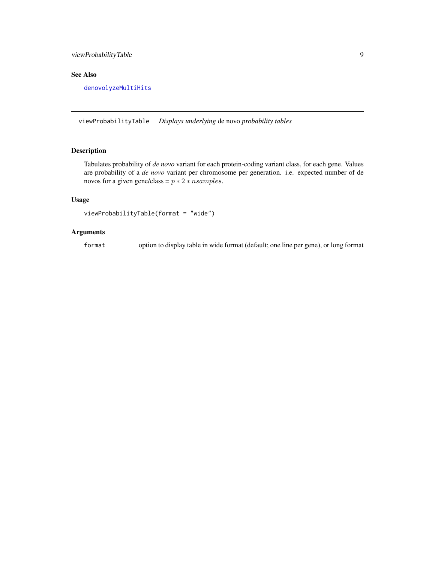#### <span id="page-8-0"></span>viewProbabilityTable 9

#### See Also

[denovolyzeMultiHits](#page-4-1)

viewProbabilityTable *Displays underlying* de novo *probability tables*

#### Description

Tabulates probability of *de novo* variant for each protein-coding variant class, for each gene. Values are probability of a *de novo* variant per chromosome per generation. i.e. expected number of de novos for a given gene/class =  $p * 2 * n samples$ .

#### Usage

```
viewProbabilityTable(format = "wide")
```
#### Arguments

format option to display table in wide format (default; one line per gene), or long format